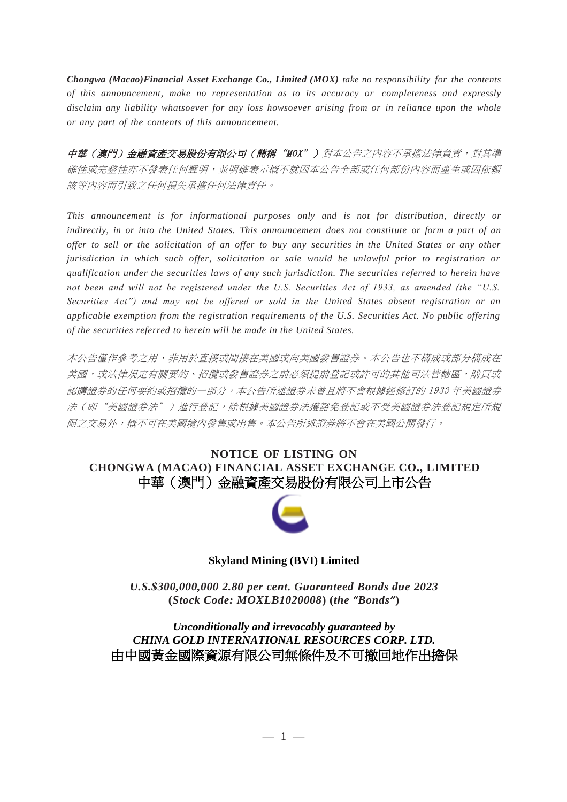*Chongwa (Macao)Financial Asset Exchange Co., Limited (MOX) take no responsibility for the contents of this announcement, make no representation as to its accuracy or completeness and expressly disclaim any liability whatsoever for any loss howsoever arising from or in reliance upon the whole or any part of the contents of this announcement.*

中華(澳門)金融資產交易股份有限公司(簡稱"MOX")對本公告之內容不承擔法律負責,對其準 確性或完整性亦不發表任何聲明,並明確表示概不就因本公告全部或任何部份內容而產生或因依賴 該等內容而引致之任何損失承擔任何法律責任。

*This announcement is for informational purposes only and is not for distribution, directly or* indirectly, in or into the United States. This announcement does not constitute or form a part of an *offer to sell or the solicitation of an offer to buy any securities in the United States or any other jurisdiction in which such offer, solicitation or sale would be unlawful prior to registration or qualification under the securities laws of any such jurisdiction. The securities referred to herein have not been and will not be registered under the U.S. Securities Act of 1933, as amended (the "U.S. Securities Act") and may not be offered or sold in the United States absent registration or an applicable exemption from the registration requirements of the U.S. Securities Act. No public offering of the securities referred to herein will be made in the United States.*

本公告僅作參考之用,非用於直接或間接在美國或向美國發售證券。本公告也不構成或部分構成在 美國,或法律規定有關要約、招攬或發售證券之前必須提前登記或許可的其他司法管轄區,購買或 認購證券的任何要約或招攬的一部分。本公告所述證券未曾且將不會根據經修訂的 1933 年美國證券 法(即"美國證券法")進行登記,除根據美國證券法獲豁免登記或不受美國證券法登記規定所規 限之交易外,概不可在美國境內發售或出售。本公告所述證券將不會在美國公開發行。

## **NOTICE OF LISTING ON CHONGWA (MACAO) FINANCIAL ASSET EXCHANGE CO., LIMITED** 中華(澳門)金融資產交易股份有限公司上市公告



#### **Skyland Mining (BVI) Limited**

*U.S.\$300,000,000 2.80 per cent. Guaranteed Bonds due 2023* **(***Stock Code: MOXLB1020008***) (***the "Bonds"***)**

*Unconditionally and irrevocably guaranteed by CHINA GOLD INTERNATIONAL RESOURCES CORP. LTD.* 由中國黃金國際資源有限公司無條件及不可撤回地作出擔保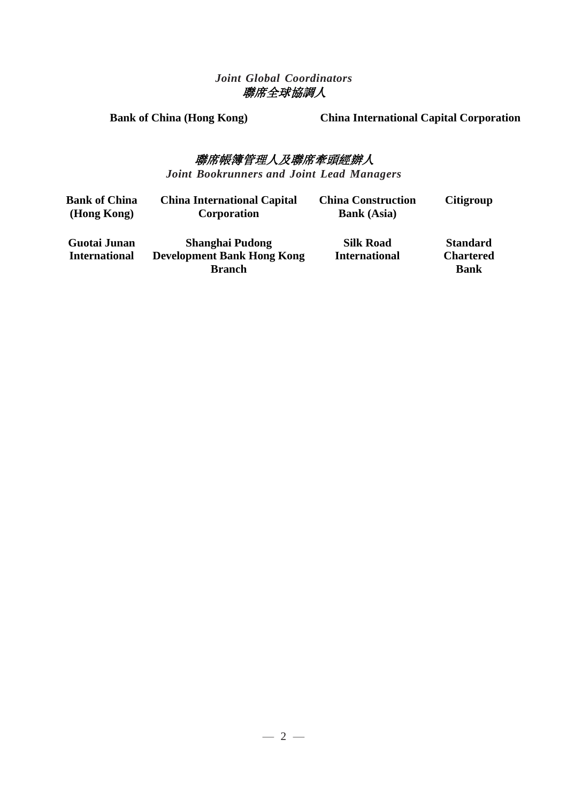## *Joint Global Coordinators* 聯席全球協調人

**Bank of China (Hong Kong) China International Capital Corporation**

# 聯席帳簿管理人及聯席牽頭經辦人

*Joint Bookrunners and Joint Lead Managers*

| Bank of China<br>(Hong Kong) | <b>China International Capital</b><br><b>Corporation</b> | <b>China Construction</b><br><b>Bank</b> (Asia) | <b>Citigroup</b> |
|------------------------------|----------------------------------------------------------|-------------------------------------------------|------------------|
| <b>Guotai Junan</b>          | <b>Shanghai Pudong</b>                                   | <b>Silk Road</b>                                | <b>Standard</b>  |
| <b>International</b>         | <b>Development Bank Hong Kong</b>                        | <b>International</b>                            | <b>Chartered</b> |
|                              | <b>Branch</b>                                            |                                                 | <b>Bank</b>      |